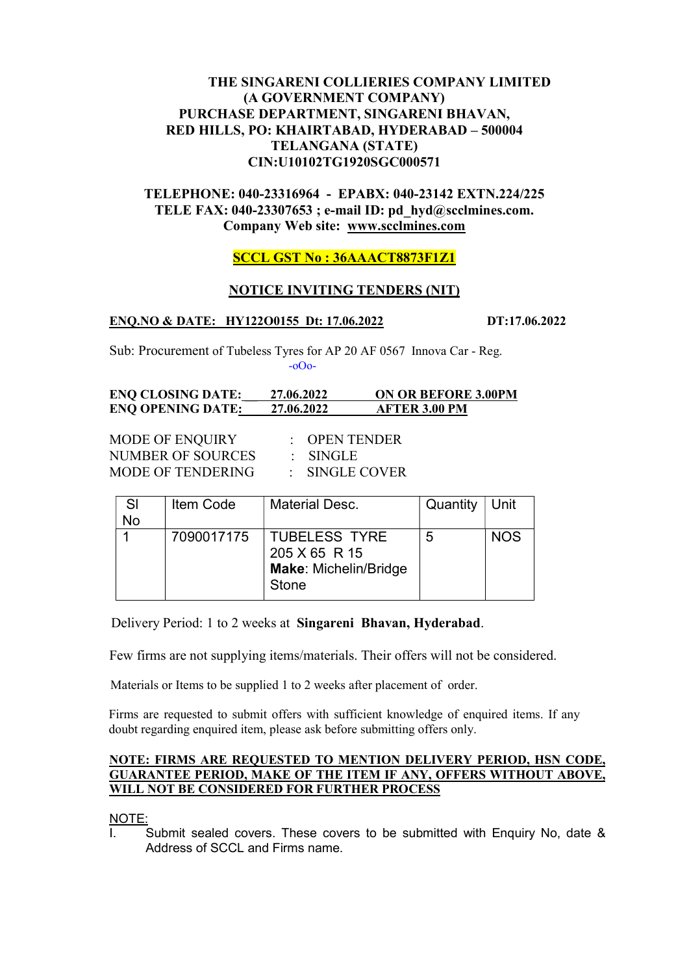# THE SINGARENI COLLIERIES COMPANY LIMITED (A GOVERNMENT COMPANY) PURCHASE DEPARTMENT, SINGARENI BHAVAN, RED HILLS, PO: KHAIRTABAD, HYDERABAD – 500004 TELANGANA (STATE) CIN:U10102TG1920SGC000571

# TELEPHONE: 040-23316964 - EPABX: 040-23142 EXTN.224/225 TELE FAX: 040-23307653 ; e-mail ID: pd\_hyd@scclmines.com. Company Web site: www.scclmines.com

# SCCL GST No : 36AAACT8873F1Z1

# NOTICE INVITING TENDERS (NIT)

#### ENO.NO & DATE: HY122O0155 Dt: 17.06.2022 DT:17.06.2022

Sub: Procurement of Tubeless Tyres for AP 20 AF 0567 Innova Car - Reg. -oOo-

#### ENQ CLOSING DATE: \_\_ 27.06.2022 ON OR BEFORE 3.00PM ENQ OPENING DATE: 27.06.2022 AFTER 3.00 PM

MODE OF ENOUIRY : OPEN TENDER NUMBER OF SOURCES : SINGLE MODE OF TENDERING : SINGLE COVER

| -SI | Item Code  | <b>Material Desc.</b>                                            | Quantity $ $ Unit |            |
|-----|------------|------------------------------------------------------------------|-------------------|------------|
| No  |            |                                                                  |                   |            |
|     | 7090017175 | TUBELESS TYRE<br>205 X 65 R 15<br>Make: Michelin/Bridge<br>Stone | 5                 | <b>NOS</b> |

Delivery Period: 1 to 2 weeks at Singareni Bhavan, Hyderabad.

Few firms are not supplying items/materials. Their offers will not be considered.

Materials or Items to be supplied 1 to 2 weeks after placement of order.

 Firms are requested to submit offers with sufficient knowledge of enquired items. If any doubt regarding enquired item, please ask before submitting offers only.

#### NOTE: FIRMS ARE REQUESTED TO MENTION DELIVERY PERIOD, HSN CODE, GUARANTEE PERIOD, MAKE OF THE ITEM IF ANY, OFFERS WITHOUT ABOVE, WILL NOT BE CONSIDERED FOR FURTHER PROCESS

NOTE:

I. Submit sealed covers. These covers to be submitted with Enquiry No, date & Address of SCCL and Firms name.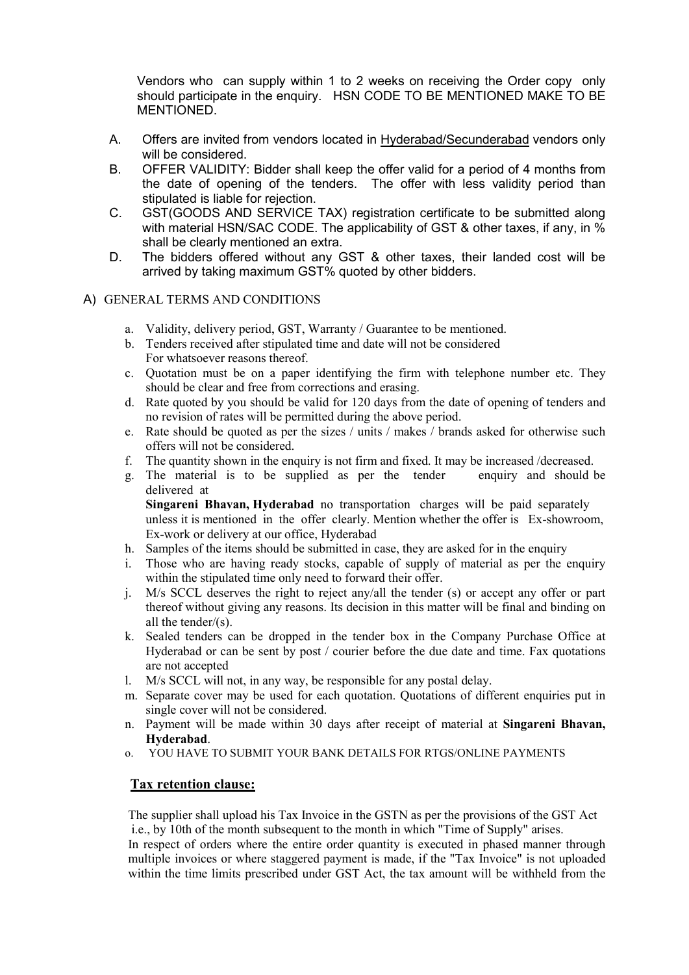Vendors who can supply within 1 to 2 weeks on receiving the Order copy only should participate in the enquiry. HSN CODE TO BE MENTIONED MAKE TO BE MENTIONED.

- A. Offers are invited from vendors located in Hyderabad/Secunderabad vendors only will be considered.
- B. OFFER VALIDITY: Bidder shall keep the offer valid for a period of 4 months from the date of opening of the tenders. The offer with less validity period than stipulated is liable for rejection.
- C. GST(GOODS AND SERVICE TAX) registration certificate to be submitted along with material HSN/SAC CODE. The applicability of GST & other taxes, if any, in  $\%$ shall be clearly mentioned an extra.
- D. The bidders offered without any GST & other taxes, their landed cost will be arrived by taking maximum GST% quoted by other bidders.

## A) GENERAL TERMS AND CONDITIONS

- a. Validity, delivery period, GST, Warranty / Guarantee to be mentioned.
- b. Tenders received after stipulated time and date will not be considered For whatsoever reasons thereof.
- c. Quotation must be on a paper identifying the firm with telephone number etc. They should be clear and free from corrections and erasing.
- d. Rate quoted by you should be valid for 120 days from the date of opening of tenders and no revision of rates will be permitted during the above period.
- e. Rate should be quoted as per the sizes / units / makes / brands asked for otherwise such offers will not be considered.
- f. The quantity shown in the enquiry is not firm and fixed. It may be increased /decreased.
- g. The material is to be supplied as per the tender enquiry and should be delivered at Singareni Bhavan, Hyderabad no transportation charges will be paid separately

unless it is mentioned in the offer clearly. Mention whether the offer is Ex-showroom, Ex-work or delivery at our office, Hyderabad

- h. Samples of the items should be submitted in case, they are asked for in the enquiry
- i. Those who are having ready stocks, capable of supply of material as per the enquiry within the stipulated time only need to forward their offer.
- j. M/s SCCL deserves the right to reject any/all the tender (s) or accept any offer or part thereof without giving any reasons. Its decision in this matter will be final and binding on all the tender/(s).
- k. Sealed tenders can be dropped in the tender box in the Company Purchase Office at Hyderabad or can be sent by post / courier before the due date and time. Fax quotations are not accepted
- l. M/s SCCL will not, in any way, be responsible for any postal delay.
- m. Separate cover may be used for each quotation. Quotations of different enquiries put in single cover will not be considered.
- n. Payment will be made within 30 days after receipt of material at Singareni Bhavan, Hyderabad.
- o. YOU HAVE TO SUBMIT YOUR BANK DETAILS FOR RTGS/ONLINE PAYMENTS

# Tax retention clause:

 The supplier shall upload his Tax Invoice in the GSTN as per the provisions of the GST Act i.e., by 10th of the month subsequent to the month in which "Time of Supply" arises. In respect of orders where the entire order quantity is executed in phased manner through multiple invoices or where staggered payment is made, if the "Tax Invoice" is not uploaded within the time limits prescribed under GST Act, the tax amount will be withheld from the